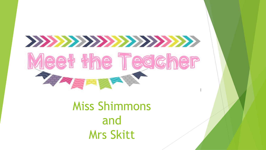

# Miss Shimmons and Mrs Skitt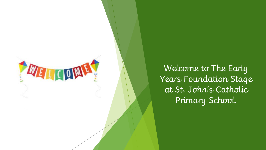

Welcome to The Early Years Foundation Stage at St. John's Catholic Primary School.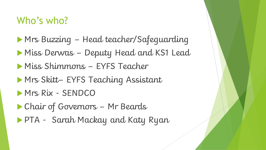## Who's who?

 Mrs Buzzing – Head teacher/Safeguarding Miss Derwas – Deputy Head and KS1 Lead Miss Shimmons – EYFS Teacher Mrs Skitt– EYFS Teaching Assistant **Mrs Rix - SENDCO**  Chair of Governors – Mr Beards PTA - Sarah Mackay and Katy Ryan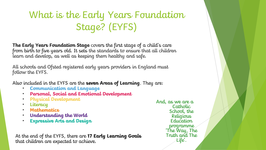## What is the Early Years Foundation Stage? (EYFS)

**The Early Years Foundation Stage** covers the first stage of a child's care from birth to five years old. It sets the standards to ensure that all children learn and develop, as well as keeping them healthy and safe.

All schools and Ofsted registered early years providers in England must follow the EYFS.

Also included in the EYFS are the **seven Areas of Learning**. They are:

- **Communication and Language**
- **Personal, Social and Emotional Development**
- **Physical Development**
- **Literacy**
- **Mathematics**
- **Understanding the World**
- **Expressive Arts and Design**

At the end of the EYFS, there are **17 Early Learning Goals**  that children are expected to achieve.

And, as we are a Catholic School, the Religious Education programme 'The Way, The Truth and The Life'.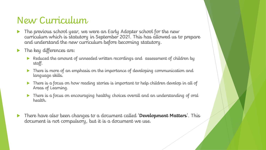#### New Curriculum

- The previous school year, we were an Early Adopter school for the new curriculum which is statutory in September 2021. This has allowed us to prepare and understand the new curriculum before becoming statutory.
- The key differences are:
	- Reduced the amount of unneeded written recordings and assessment of children by staff.
	- There is more of an emphasis on the importance of developing communication and language skills.
	- There is a focus on how reading stories is important to help children develop in all of Areas of Learning.
	- There is a focus on encouraging healthy choices overall and an understanding of oral health.
- There have also been changes to a document called '**Development Matters**'. This document is not compulsory, but it is a document we use.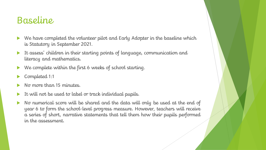#### Baseline

- We have completed the volunteer pilot and Early Adopter in the baseline which is Statutory in September 2021.
- It assess' children in their starting points of language, communication and literacy and mathematics.
- We complete within the first 6 weeks of school starting.
- Completed 1:1
- No more than 15 minutes.
- It will not be used to label or track individual pupils.
- No numerical score will be shared and the data will only be used at the end of year 6 to form the school-level progress measure. However, teachers will receive a series of short, narrative statements that tell them how their pupils performed in the assessment.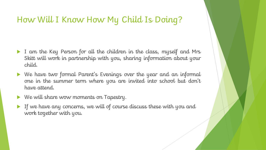#### How Will I Know How My Child Is Doing?

- I am the Key Person for all the children in the class, myself and Mrs Skitt will work in partnership with you, sharing information about your child.
- We have two formal Parent's Evenings over the year and an informal one in the summer term where you are invited into school but don't have attend.
- We will share wow moments on Tapestry.
- If we have any concerns, we will of course discuss these with you and work together with you.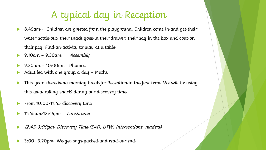## A typical day in Reception

- ▶ 8.45am Children are greeted from the playground. Children come in and get their water bottle out, their snack goes in their drawer, their bag in the box and coat on their peg. Find an activity to play at a table
- $\rightarrow$  9.10am 9.30am *Assembly*
- 9.30am 10:00am Phonics
- Adult led with one group  $a$  day  $-$  Maths
- This year, there is no morning break for Reception in the first term. We will be using this as a 'rolling snack' during our discovery time.
- From 10:00-11:45 discovery time
- 11:45am-12:45pm Lunch time
- 12:45-3:00pm Discovery Time (EAD, UTW, Interventions, readers)
- 3:00- 3.20pm We get bags packed and read our end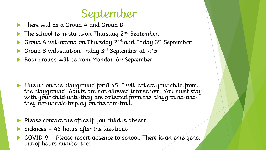# September

- There will be a Group A and Group B.
- $\blacktriangleright$  The school term starts on Thursday 2<sup>nd</sup> September.
- Group A will attend on Thursday 2nd and Friday 3rd September.
- Group B will start on Friday 3rd September at 9:15
- Both groups will be from Monday 6<sup>th</sup> September.

- ▶ Line up on the playground for 8:45. I will collect your child from the playground. Adults are not allowed into school. You must stay with your child until they are collected from the playground and they are unable to play on the trim trail.
- Please contact the office if you child is absent
- Sickness 48 hours after the last bout
- COVID19 Please report absence to school. There is an emergency out of hours number too.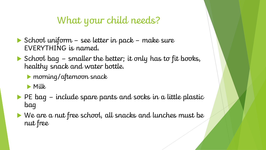## What your child needs?

- School uniform see letter in pack make sure EVERYTHING is named.
- School bag smaller the better; it only has to fit books, healthy snack and water bottle.
	- morning/afternoon snack
	- **Milk**
- $\blacktriangleright$  PE bag include spare pants and socks in a little plastic bag
- We are a nut free school, all snacks and lunches must be nut free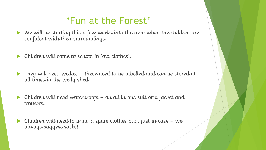#### 'Fun at the Forest'

- $\blacktriangleright$  We will be starting this a few weeks into the term when the children are confident with their surroundings.
- Children will come to school in 'old clothes'.
- They will need wellies these need to be labelled and can be stored at all times in the welly shed.
- $\triangleright$  Children will need waterproofs an all in one suit or a jacket and trousers.
- **Children will need to bring a spare clothes bag, just in case we** always suggest socks!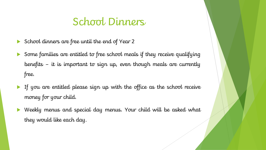#### School Dinners

- School dinners are free until the end of Year 2
- Some families are entitled to free school meals if they receive qualifying benefits – it is important to sign up, even though meals are currently free.
- If you are entitled please sign up with the office as the school receive money for your child.
- Weekly menus and special day menus. Your child will be asked what they would like each day.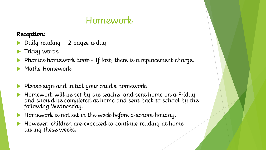#### Homework

#### **Reception:**

- Daily reading 2 pages a day
- **Tricky words**
- Phonics homework book If lost, there is a replacement charge.
- Maths Homework
- Please sign and initial your child's homework.
- Homework will be set by the teacher and sent home on a Friday and should be completed at home and sent back to school by the following Wednesday.
- $\blacktriangleright$  Homework is not set in the week before a school holiday.
- However, children are expected to continue reading at home during these weeks.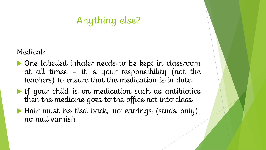## Anything else?

Medical:

- One labelled inhaler needs to be kept in classroom at all times – it is your responsibility (not the teachers) to ensure that the medication is in date.
- If your child is on medication such as antibiotics then the medicine goes to the office not into class.
- Hair must be tied back, no earrings (studs only), no nail varnish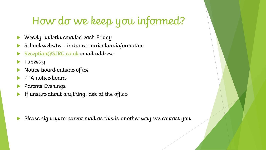## How do we keep you informed?

- Weekly bulletin emailed each Friday
- School website includes curriculum information
- [Reception@SJRC.co.uk](mailto:Reception@SJRC.co.uk) email address
- Tapestry
- Notice board outside office
- PTA notice board
- Parents Evenings
- If unsure about anything, ask at the office

Please sign up to parent mail as this is another way we contact you.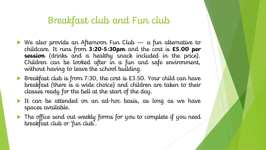#### Breakfast club and Fun club

- $\blacktriangleright$  We also provide an Afternoon Fun Club  $-$  a fun alternative to childcare. It runs from **3:20-5:30pm** and the cost is **£5.00 per session** (drinks and a healthy snack included in the price). Children can be looked after in a fun and safe environment, without having to leave the school building.
- Breakfast club is from 7:30, the cost is £3.50. Your child can have breakfast (there is a wide choice) and children are taken to their classes ready for the bell at the start of the day.
- It can be attended on an ad-hoc basis, as long as we have spaces available.
- ▶ The office send out weekly forms for you to complete if you need breakfast club or 'fun club'.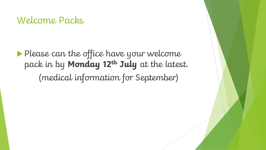#### Welcome Packs

**Please can the office have your welcome** pack in by **Monday 12th July** at the latest. (medical information for September)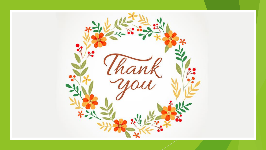